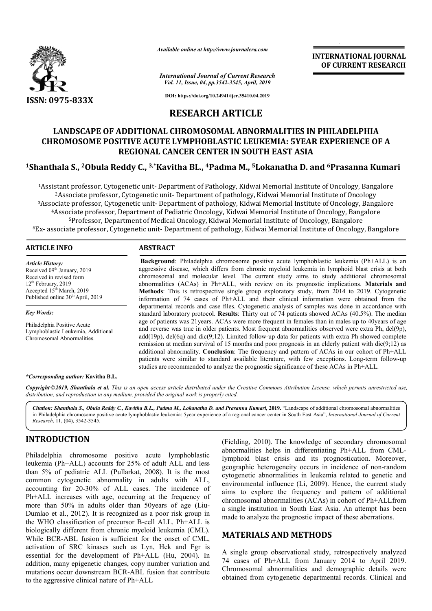

*Available online at http://www.journalcra.com*

**INTERNATIONAL JOURNAL OF CURRENT RESEARCH**

*International Journal of Current Research Vol. 11, Issue, 04, pp.3542-3545, April, 2019*

**DOI: https://doi.org/10.24941/ijcr.35410.04.2019**

## **RESEARCH ARTICLE**

# **LANDSCAPE OF ADDITIONAL CHROMOSOMAL ABNORMALITIES IN PHILADELPHIA CHROMOSOME POSITIVE ACUTE LYMPHOBLASTIC LEUKEMIA: 5YEAR EXPERIENCE OF A REGIONAL CANCER CENTER IN SOUTH EAST ASIA** LANDSCAPE OF ADDITIONAL CHROMOSOMAL ABNORMALITIES IN PHILADELPHIA<br>CHROMOSOME POSITIVE ACUTE LYMPHOBLASTIC LEUKEMIA: 5YEAR EXPERIENCE OF A<br>REGIONAL CANCER CENTER IN SOUTH EAST ASIA<br><sup>1</sup>Shanthala S., <sup>2</sup>Obula Reddy C., <sup>3,\*</sup>K

<sup>1</sup>Assistant professor, Cytogenetic unit- Department of Pathology, Kidwai Memorial Institute of Oncology, Bangalore  $^2$ Associate professor, Cytogenetic unit- Department of pathology, Kidwai Memorial Institute of Oncology <sup>1</sup>Assistant professor, Cytogenetic unit- Department of Pathology, Kidwai Memorial Institute of Oncology, Bangalore<br><sup>2</sup>Associate professor, Cytogenetic unit- Department of pathology, Kidwai Memorial Institute of Oncology<br><sup></sup> 4Associate professor, Department of Pediatric Oncology, Kidwai Memorial Institute of Oncology, Bangalore 5Professor, Department of Medical Oncology, Kidwai Memorial Institute of Oncology, Bangalore  $^6$ Ex- associate professor, Cytogenetic unit- Department of pathology, Kidwai Memorial Institute of Oncology, Bangalore idwai Memorial Institute of Oncology,<br>Memorial Institute of Oncology, Bang;<br>ogy, Kidwai Memorial Institute of Onc

#### **ARTICLE INFO ABSTRACT**

*Article History:* Received 09<sup>th</sup> January, 2019 Received in revised form 12<sup>th</sup> February, 2019 Accepted  $15<sup>th</sup>$  March, 2019 Published online 30<sup>th</sup> April, 2019

*Key Words:*

Philadelphia Positive Acute Lymphoblastic Leukemia, Additional Chromosomal Abnormalities.

#### *\*Corresponding author:* **Kavitha B.L.**

Copyright©2019, Shanthala et al. This is an open access article distributed under the Creative Commons Attribution License, which permits unrestricted use, *distribution, and reproduction in any medium, provided the original work is properly cited.*

Citation: Shanthala S., Obula Reddy C., Kavitha B.L., Padma M., Lokanatha D. and Prasanna Kumari, 2019. "Landscape of additional chromosomal abnormalities Citation: Shanthala S., Obula Reddy C., Kavitha B.L., Padma M., Lokanatha D. and Prasanna Kumari, 2019. "Landscape of additional chromosomal abnormalities<br>in Philadelphia chromosome positive acute lymphoblastic leukemia: 5 *Research*, 11, (04), 3542-3545.

### **INTRODUCTION**

Philadelphia chromosome positive acute lymphoblastic leukemia (Ph+ALL) accounts for 25% of adult ALL and less than 5% of pediatric ALL (Pullarkat, 2008). It is the most common cytogenetic abnormality in adults with ALL, accounting for 20-30% of ALL cases. The incidence of Ph+ALL increases with age, occurring at the frequency of more than 50% in adults older than 50 years of age (Liu-Dumlao et al., 2012). It is recognized as a poor risk group in the WHO classification of precursor B-cell ALL. Ph+ALL is biologically different from chronic myeloid leukemia (CML). While BCR-ABL fusion is sufficient for the onset of CML, activation of SRC kinases such as Lyn, Hck and Fgr is essential for the development of Ph+ALL (Hu, 2004). In addition, many epigenetic changes, copy number variation and mutations occur downstream BCR-ABL fusion that contribute to the aggressive clinical nature of Ph+ALL 30% of ALL cases. The incidence of<br>with age, occurring at the frequency of<br>adults older than 50years of age (Liucell ABL ivation ABL (Fielding, 2010). The knowledge of secondary chromosomal

(Fielding, 2010). The knowledge of secondary chromosomal abnormalities helps in differentiating Ph+ALL from CMLlymphoid blast crisis and its prognostication. Moreover, geographic heterogeneity occurs in incidence of non-random cytogenetic abnormalities in leukemia related to genetic and environmental influence (Li, 2009). Hence, the current study aims to explore the frequency and pattern of additional chromosomal abnormalities (ACAs) in cohort of Ph+ALLfrom a single institution in South East Asia. An attempt has been made to analyze the prognostic impact of these aberrations. enetic abnormalities in leukemia related to genetic<br>onmental influence (Li, 2009). Hence, the current st<br>to explore the frequency and pattern of addition<br>osomal abnormalities (ACAs) in cohort of Ph+ALLfi<br>,<br>le institution i INTERNATIONAL JOURNAL THE REAL TOTAL TOTAL THE REAL TOTAL THE REAL THE ALL 2013<br>
155.4565, April, 2013<br>
157.4541, 2013<br>
157.4541, 2013<br>
171 CLE ABNORMALITIES IN PHILADELPHIA<br>
171 CLE ABNORMALITIES IN PHILADELPHIA<br>
171 CLE

### **MATERIALS AND METHODS METHODS**

Background: Philadelphia chromosome positive acute lymphoblastic leukemia (Ph+ALL) is an aggressive disease, which differs from chronic myeloid leukemia in lymphoid blast crisis at both chromosomal and molecular level. The current study aims to study additional chromosomal aggressive disease, which differs from chronic myeloid leukemia in lymphoid blast crisis at both chromosomal and molecular level. The current study aims to study additional chromosomal abnormalities (ACAs) in Ph+ALL, with

**Methods** : This is retrospective single group exploratory study, from 2014 to 2019. Cytogenetic information of 74 cases of Ph+ALL and their clinical information were obtained from the departmental records and case files. Cytogeneti Cytogenetic analysis of samples was done in accordance with standard laboratory protocol. **Results**: Thirty out of 74 patients showed ACAs (40.5%). The median age of patients was 21years. ACAs were more frequent in females than in males up to 40years of age and reverse was true in older patients. Most frequent abnormalities observed were extra Ph, del(9p),  $add(19p)$ ,  $del(6q)$  and  $dic(9,12)$ . Limited follow-up data for patients with extra Ph showed complete remission at median survival of 15 months and poor prognosis in an elderly patient with dic( $9;12$ ) as additional abnormality. **Conclusion**: The frequency and pattern of ACAs in our cohort of Ph+ALL add(19p), del(6q) and dic(9;12). Limited follow-up data for patients with extra Ph showed complete remission at median survival of 15 months and poor prognosis in an elderly patient with dic(9;12) as additional abnormalit

**Methods**: This is retrospective single group exploratory study, from 2014 to 2019. Cytogenetic information of 74 cases of Ph+ALL and their clinical information were obtained from the departmental records and case files. C

studies are recommended to analyze the prognostic significance of these ACAs in Ph+ALL.

A single group observational study, retrospectively analyzed 74 cases of Ph+ALL from January 2014 to April 2019. Chromosomal abnormalities and demographic details were obtained from cytogenetic departmental records. Clinical and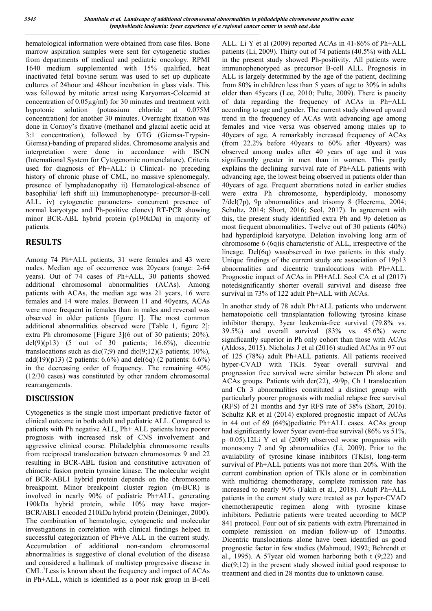hematological information were obtained from case files. Bone marrow aspiration samples were sent for cytogenetic studies from departments of medical and pediatric oncology. RPMI 1640 medium supplemented with 15% qualified, heat inactivated fetal bovine serum was used to set up duplicate cultures of 24hour and 48hour incubation in glass vials. This was followed by mitotic arrest using Karyomax-Colcemid at concentration of 0.05µg/ml) for 30 minutes and treatment with hypotonic solution (potassium chloride at 0.075M concentration) for another 30 minutes. Overnight fixation was done in Cornoy's fixative (methanol and glacial acetic acid at 3:1 concentration), followed by GTG (Giemsa-Trypsin-Giemsa)-banding of prepared slides. Chromosome analysis and interpretation were done in accordance with ISCN (International System for Cytogenomic nomenclature). Criteria used for diagnosis of Ph+ALL: i) Clinical- no preceding history of chronic phase of CML, no massive splenomegaly, presence of lymphadenopathy ii) Hematological-absence of basophilia/ left shift iii) Immunophenotype- precursor-B-cell ALL. iv) cytogenetic parameters- concurrent presence of normal karyotype and Ph-positive clonev) RT-PCR showing minor BCR-ABL hybrid protein (p190kDa) in majority of patients.

## **RESULTS**

Among 74 Ph+ALL patients, 31 were females and 43 were males. Median age of occurrence was 20years (range: 2-64 years). Out of 74 cases of Ph+ALL, 30 patients showed additional chromosomal abnormalities (ACAs). Among patients with ACAs, the median age was 21 years, 16 were females and 14 were males. Between 11 and 40years, ACAs were more frequent in females than in males and reversal was observed in older patients [figure 1]. The most common additional abnormalities observed were [Table 1, figure 2]: extra Ph chromosome [Figure 3](6 out of 30 patients; 20%), del(9)(p13) (5 out of 30 patients;  $16.6\%$ ), dicentric translocations such as  $\text{dic}(7;9)$  and  $\text{dic}(9;12)(3 \text{ patients}; 10\%),$ add(19)(p13) (2 patients:  $6.6\%$ ) and del(6q) (2 patients:  $6.6\%$ ) in the decreasing order of frequency. The remaining 40% (12/30 cases) was constituted by other random chromosomal rearrangements.

## **DISCUSSION**

Cytogenetics is the single most important predictive factor of clinical outcome in both adult and pediatric ALL. Compared to patients with Ph negative ALL, Ph+ ALL patients have poorer prognosis with increased risk of CNS involvement and aggressive clinical course. Philadelphia chromosome results from reciprocal translocation between chromosomes 9 and 22 resulting in BCR-ABL fusion and constitutive activation of chimeric fusion protein tyrosine kinase. The molecular weight of BCR-ABL1 hybrid protein depends on the chromosome breakpoint. Minor breakpoint cluster region (m-BCR) is involved in nearly 90% of pediatric Ph+ALL, generating 190kDa hybrid protein, while 10% may have major-BCR/ABL1 encoded 210kDa hybrid protein (Deininger, 2000). The combination of hematologic, cytogenetic and molecular investigations in correlation with clinical findings helped in successful categorization of Ph+ve ALL in the current study. Accumulation of additional non-random chromosomal abnormalities is suggestive of clonal evolution of the disease and considered a hallmark of multistep progressive disease in CML.<sup>7</sup> Less is known about the frequency and impact of ACAs in Ph+ALL, which is identified as a poor risk group in B-cell ALL. Li Y et al (2009) reported ACAs in 41-86% of Ph+ALL patients (Li, 2009). Thirty out of 74 patients (40.5%) with ALL in the present study showed Ph-positivity. All patients were immunophenotyped as precursor B-cell ALL. Prognosis in ALL is largely determined by the age of the patient, declining from 80% in children less than 5 years of age to 30% in adults older than 45years (Lee, 2010; Pulte, 2009). There is paucity of data regarding the frequency of ACAs in Ph+ALL according to age and gender. The current study showed upward trend in the frequency of ACAs with advancing age among females and vice versa was observed among males up to 40years of age. A remarkably increased frequency of ACAs (from 22.2% before 40years to 60% after 40years) was observed among males after 40 years of age and it was significantly greater in men than in women. This partly explains the declining survival rate of Ph+ALL patients with advancing age, the lowest being observed in patients older than 40years of age. Frequent aberrations noted in earlier studies were extra Ph chromosome, hyperdiploidy, monosomy 7/del(7p), 9p abnormalities and trisomy 8 (Heerema, 2004; Schultz**,** 2014; Short, 2016; Seol, 2017). In agreement with this, the present study identified extra Ph and 9p deletion as most frequent abnormalities. Twelve out of 30 patients (40%) had hyperdiploid karyotype. Deletion involving long arm of chromosome 6 (6q)is characteristic of ALL, irrespective of the lineage. Del(6q) wasobserved in two patients in this study. Unique findings of the current study are association of 19p13 abnormalities and dicentric translocations with Ph+ALL. Prognostic impact of ACAs in PH+ALL Seol CA et al (2017) notedsignificantly shorter overall survival and disease free survival in 73% of 122 adult Ph+ALL with ACAs.

In another study of 78 adult Ph+ALL patients who underwent hematopoietic cell transplantation following tyrosine kinase inhibitor therapy, 3year leukemia-free survival (79.8% vs. 39.5%) and overall survival (83% vs. 45.6%) were significantly superior in Ph only cohort than those with ACAs (Aldoss, 2015). Nicholas J et al (2016) studied ACAs in 97 out of 125 (78%) adult Ph+ALL patients. All patients received hyper-CVAD with TKIs. 5year overall survival and progression free survival were similar between Ph alone and ACAs groups. Patients with der(22), -9/9p, Ch 1 translocation and Ch 3 abnormalities constituted a distinct group with particularly poorer prognosis with medial relapse free survival (RFS) of 21 months and 5yr RFS rate of 38% (Short, 2016). Schultz KR et al (2014) explored prognostic impact of ACAs in 44 out of 69 (64%)pediatric Ph+ALL cases. ACAs group had significantly lower 5year event-free survival (86% vs 51%, p=0.05).12Li Y et al (2009) observed worse prognosis with monosomy 7 and 9p abnormalities (Li, 2009). Prior to the availability of tyrosine kinase inhibitors (TKIs), long-term survival of Ph+ALL patients was not more than 20%. With the current combination option of TKIs alone or in combination with multidrug chemotherapy, complete remission rate has increased to nearly 90% (Fakih et al., 2018). Adult Ph+ALL patients in the current study were treated as per hyper-CVAD chemotherapeutic regimen along with tyrosine kinase inhibitors. Pediatric patients were treated according to MCP 841 protocol. Four out of six patients with extra Phremained in complete remission on median follow-up of 15months. Dicentric translocations alone have been identified as good prognostic factor in few studies (Mahmoud, 1992; Behrendt et al., 1995). A 57year old women harboring both t (9;22) and dic(9;12) in the present study showed initial good response to treatment and died in 28 months due to unknown cause.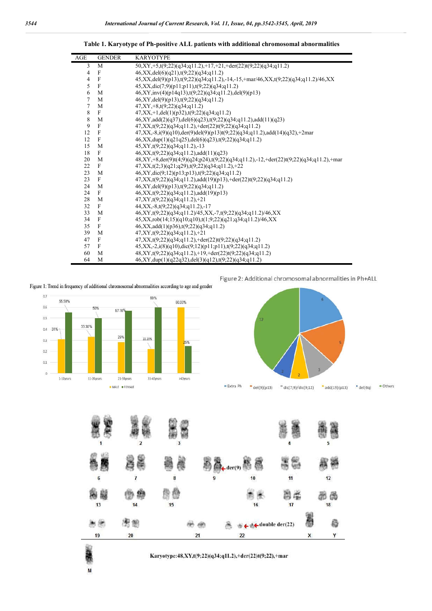**Table 1. Karyotype of Ph-positive ALL patients with additional chromosomal abnormalities**

| AGE            | <b>GENDER</b> | <b>KARYOTYPE</b>                                                                        |
|----------------|---------------|-----------------------------------------------------------------------------------------|
| 3              | M             | 50,XY,+5,t(9;22)(q34;q11.2),+17,+21,+der(22)t(9;22)(q34;q11.2)                          |
| $\overline{4}$ | F             | $46, XX, del(6)(q21), t(9;22)(q34; q11.2)$                                              |
| 4              | F             | 45, XX, del(9)(p13), t(9;22)(q34;q11.2),-14,-15, +mar/46, XX, t(9;22)(q34;q11.2)/46, XX |
| 5              | $\mathbf{F}$  | $45, XX, dic(7,9)(p11;p11), t(9,22)(q34;q11.2)$                                         |
| 6              | M             | $46, XY, inv(4)(p14q13), t(9;22)(q34;q11.2), del(9)(p13)$                               |
| $\overline{7}$ | M             | 46,XY,del(9)(p13),t(9;22)(q34;q11.2)                                                    |
| $\tau$         | M             | $47, XY, +8, t(9;22)(q34;q11.2)$                                                        |
| 8              | F             | $47, XX, +1, del(1)(p32), t(9;22)(q34; q11.2)$                                          |
| 8              | M             | 46,XY,add(2)(q37),del(6)(q23),t(9;22)(q34;q11.2),add(11)(q23)                           |
| 9              | $\mathbf{F}$  | $47, XX, t(9;22)(q34; q11.2), \text{+der}(22)t(9;22)(q34; q11.2)$                       |
| 12             | F             | $47, XX, -8, i(9)(q10), der(9)del(9)(p13)t(9;22)(q34;q11.2), add(14)(q32), +2mar$       |
| 12             | $\mathbf F$   | $46, XX, dup(1)(q21q25), del(6)(q23), t(9;22)(q34;q11.2)$                               |
| 15             | M             | $45, XY, t(9;22)(q34;q11.2), -13$                                                       |
| 18             | F             | $46, XX, t(9;22)(q34; q11.2), add(11)(q23)$                                             |
| 20             | M             | 48,XY,+8,der(9)t(4;9)(q24;p24),t(9;22)(q34;q11.2),-12,+der(22)t(9;22)(q34;q11.2),+mar   |
| 22             | F             | $47, XX, t(2; 3)(q21; q29), t(9; 22)(q34; q11.2), +22$                                  |
| 23             | M             | $46, XY, dic(9;12)(p13;p13), t(9;22)(q34;q11.2)$                                        |
| 23             | $\mathbf{F}$  | $47, XX, t(9;22)(q34; q11.2), add(19)(p13), \text{+}der(22)t(9;22)(q34; q11.2)$         |
| 24             | M             | $46, XY, del(9)(p13), t(9;22)(q34; q11.2)$                                              |
| 24             | $\mathbf{F}$  | $46, XX, t(9;22)(q34; q11.2), add(19)(p13)$                                             |
| 28             | M             | $47, XY, t(9;22)(q34;q11.2)+21$                                                         |
| 32             | F             | $44, XX, -8, t(9;22)(q34;q11.2), -17$                                                   |
| 33             | M             | $46, XY, t(9;22)(q34; q11.2)/45, XX, -7, t(9;22)(q34; q11.2)/46, XX$                    |
| 34             | F             | $45, XX, rob(14;15)(q10;q10), t(1;9;22)(q21;q34;q11.2)/46, XX$                          |
| 35             | $\mathbf F$   | $46, XX, add(1)(p36), t(9;22)(q34; q11.2)$                                              |
| 39             | M             | $47, XY, t(9;22)(q34; q11.2), +21$                                                      |
| 47             | F             | $47, XX, t(9;22)(q34;q11.2), \text{+der}(22)t(9;22)(q34;q11.2)$                         |
| 57             | F             | $45, XX, -2, i(8)(q10), dic(9,12)(p11;p11), t(9,22)(q34;q11.2)$                         |
| 60             | M             | $48, XY, t(9;22)(q34;q11.2), +19, +\text{der}(22)t(9;22)(q34;q11.2)$                    |
| 64             | M             | $46, XY, dup(1)(q22q32), del(3)(q12), t(9;22)(q34; q11.2)$                              |

Figure 1: Trend in frequency of additional chromosomal abnormalities according to age and gender



M





#### Karyotype:48,XY,t(9;22)(q34;q11.2),+der(22)t(9;22),+mar